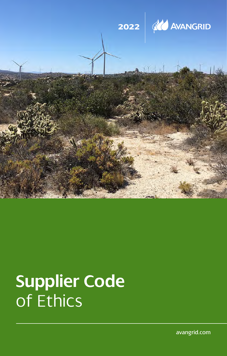

# **Supplier Code** of Ethics

avangrid.com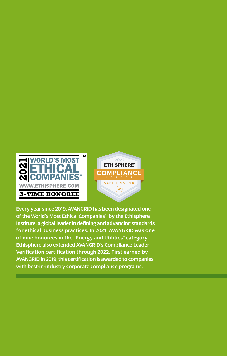



**Every year since 2019, AVANGRID has been designated one of the World's Most Ethical Companies© by the Ethisphere Institute, a global leader in defining and advancing standards for ethical business practices. In 2021, AVANGRID was one of nine honorees in the "Energy and Utilities" category. Ethisphere also extended AVANGRID's Compliance Leader Verification certification through 2022. First earned by AVANGRID in 2019, this certification is awarded to companies with best-in-industry corporate compliance programs.**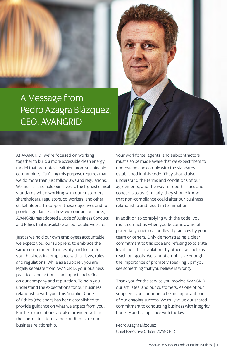

At AVANGRID, we're focused on working together to build a more accessible clean energy model that promotes healthier, more sustainable communities. Fulfilling this purpose requires that we do more than just follow laws and regulations. We must all also hold ourselves to the highest ethical standards when working with our customers, shareholders, regulators, co-workers, and other stakeholders. To support these objectives and to provide guidance on how we conduct business, AVANGRID has adopted a Code of Business Conduct and Ethics that is available on our public website.

Just as we hold our own employees accountable, we expect you, our suppliers, to embrace the same commitment to integrity and to conduct your business in compliance with all laws, rules and regulations. While as a supplier, you are legally separate from AVANGRID, your business practices and actions can impact and reflect on our company and reputation. To help you understand the expectations for our business relationship with you, this Supplier Code of Ethics (the code) has been established to provide guidance on what we expect from you. Further expectations are also provided within the contractual terms and conditions for our business relationship.

Your workforce, agents, and subcontractors must also be made aware that we expect them to understand and comply with the standards established in this code. They should also understand the terms and conditions of our agreements, and the way to report issues and concerns to us. Similarly, they should know that non-compliance could alter our business relationship and result in termination.

In addition to complying with the code, you must contact us when you become aware of potentially unethical or illegal practices by your team or others. Only demonstrating a clear commitment to this code and refusing to tolerate legal and ethical violations by others, will help us reach our goals. We cannot emphasize enough the importance of promptly speaking up if you see something that you believe is wrong.

Thank you for the service you provide AVANGRID, our affiliates, and our customers. As one of our suppliers, you continue to be an important part of our ongoing success. We truly value our shared commitment to conducting business with integrity, honesty and compliance with the law.

Pedro Azagra Blázquez Chief Executive Officer, AVANGRID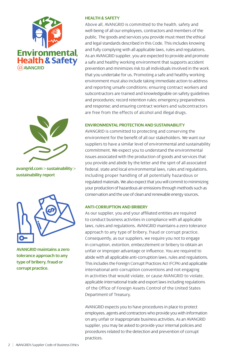



**avangrid.com > sustainability > sustainability report**



**AVANGRID maintains a zero tolerance approach to any type of bribery, fraud or corrupt practice.**

#### **HEALTH & SAFETY**

Above all, AVANGRID is committed to the health, safety and well-being of all our employees, contractors and members of the public. The goods and services you provide must meet the ethical and legal standards described in this Code. This includes knowing and fully complying with all applicable laws, rules and regulations. As an AVANGRID supplier, you are expected to provide and promote a safe and healthy working environment that supports accident prevention and minimizes risk to all individuals involved in the work that you undertake for us. Promoting a safe and healthy working environment must also include taking immediate action to address and reporting unsafe conditions; ensuring contract workers and subcontractors are trained and knowledgeable on safety guidelines and procedures; record retention rules; emergency preparedness and response; and ensuring contract workers and subcontractors are free from the effects of alcohol and illegal drugs.

#### **ENVIRONMENTAL PROTECTION AND SUSTAINABILITY**

AVANGRID is committed to protecting and conserving the environment for the benefit of all our stakeholders. We want our suppliers to have a similar level of environmental and sustainability commitment. We expect you to understand the environmental issues associated with the production of goods and services that you provide and abide by the letter and the spirt of all associated federal, state and local environmental laws, rules and regulations, including proper handling of all potentially hazardous or regulated materials. We also expect that you will commit to minimizing your production of hazardous air emissions through methods such as conservation and the use of clean and renewable energy sources.

#### **ANTI-CORRUPTION AND BRIBERY**

As our supplier, you and your affiliated entities are required to conduct business activities in compliance with all applicable laws, rules and regulations. AVANGRID maintains a zero tolerance approach to any type of bribery, fraud or corrupt practice. Consequently, as our suppliers, we require you not to engage in corruption, extortion, embezzlement or bribery to obtain an unfair or improper advantage or influence. You are required to abide with all applicable anti-corruption laws, rules and regulations. This includes the Foreign Corrupt Practices Act (FCPA) and applicable international anti-corruption conventions and not engaging in activities that would violate, or cause AVANGRID to violate, applicable international trade and export laws including regulations of the Office of Foreign Assets Control of the United States Department of Treasury.

AVANGRID expects you to have procedures in place to protect employees, agents and contractors who provide you with information on any unfair or inappropriate business activities. As an AVANGRID supplier, you may be asked to provide your internal policies and procedures related to the detection and prevention of corrupt practices.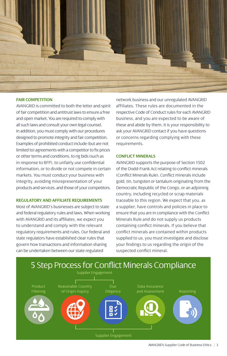

#### **FAIR COMPETITION**

AVANGRID is committed to both the letter and spirit of fair competition and antitrust laws to ensure a free and open market. You are required to comply with all such laws and consult your own legal counsel. In addition, you must comply with our procedures designed to promote integrity and fair competition. Examples of prohibited conduct include (but are not limited to) agreements with a competitor to fix prices or other terms and conditions, to rig bids (such as in response to RFP), to unfairly use confidential information, or to divide or not compete in certain markets. You must conduct your business with integrity, avoiding misrepresentation of your products and services, and those of your competitors.

#### **REGULATORY AND AFFILIATE REQUIREMENTS**

Most of AVANGRID's businesses are subject to state and federal regulatory rules and laws. When working with AVANGRID and its affiliates, we expect you to understand and comply with the relevant regulatory requirements and rules. Our federal and state regulators have established clear rules that govern how transactions and information sharing can be undertaken between our state regulated

network business and our unregulated AVANGRID affiliates. These rules are documented in the respective Code of Conduct rules for each AVANGRID business, and you are expected to be aware of these and abide by them. It is your responsibility to ask your AVANGRID contact if you have questions or concerns regarding complying with these requirements.

## **CONFLICT MINERALS**

AVANGRID supports the purpose of Section 1502 of the Dodd-Frank Act relating to conflict minerals (Conflict Minerals Rule). Conflict minerals include gold, tin, tungsten or tantalum originating from the Democratic Republic of the Congo, or an adjoining country, including recycled or scrap materials traceable to this region. We expect that you, as a supplier, have controls and policies in place to ensure that you are in compliance with the Conflict Minerals Rule and do not supply us products containing conflict minerals. If you believe that conflict minerals are contained within products supplied to us, you must investigate and disclose your findings to us regarding the origin of the suspected conflict mineral.

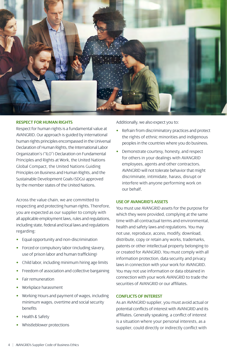

#### **RESPECT FOR HUMAN RIGHTS**

Respect for human rights is a fundamental value at AVANGRID. Our approach is guided by international human rights principles encompassed in the Universal Declaration of Human Rights, the International Labor Organization's ("ILO") Declaration on Fundamental Principles and Rights at Work, the United Nations Global Compact, the United Nations Guiding Principles on Business and Human Rights, and the Sustainable Development Goals (SDGs) approved by the member states of the United Nations.

Across the value chain, we are committed to respecting and protecting human rights. Therefore, you are expected as our supplier to comply with all applicable employment laws, rules and regulations, including state, federal and local laws and regulations regarding:

- Equal opportunity and non-discrimination
- Forced or compulsory labor (including slavery, use of prison labor and human trafficking)
- Child labor, including minimum hiring age limits
- Freedom of association and collective bargaining
- Fair remuneration
- Workplace harassment
- Working Hours and payment of wages, including minimum wages, overtime and social security benefits
- Health & Safety
- Whistleblower protections

Additionally, we also expect you to:

- Refrain from discriminatory practices and protect the rights of ethnic minorities and indigenous peoples in the countries where you do business.
- Demonstrate courtesy, honesty, and respect for others in your dealings with AVANGRID employees, agents and other contractors. AVANGRID will not tolerate behavior that might discriminate, intimidate, harass, disrupt or interfere with anyone performing work on our behalf.

#### **USE OF AVANGRID'S ASSETS**

You must use AVANGRID assets for the purpose for which they were provided, complying at the same time with all contractual terms and environmental, health and safety laws and regulations. You may not use, reproduce, access, modify, download, distribute, copy or retain any works, trademarks, patents or other intellectual property belonging to or created for AVANGRID. You must comply with all information protection, data security and privacy laws in connection with your work for AVANGRID. You may not use information or data obtained in connection with your work AVANGRID to trade the securities of AVANGRID or our affiliates.

#### **CONFLICTS OF INTEREST**

As an AVANGRID supplier, you must avoid actual or potential conflicts of interest with AVANGRID and its affiliates. Generally speaking, a conflict of interest is a situation where your personal interests, as a supplier, could directly or indirectly conflict with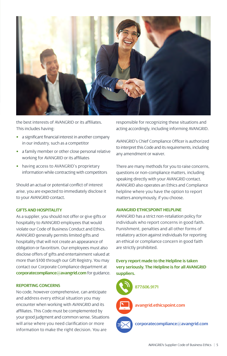

the best interests of AVANGRID or its affiliates. This includes having:

- a significant financial interest in another company in our industry, such as a competitor
- a family member or other close personal relative working for AVANGRID or its affiliates
- having access to AVANGRID's proprietary information while contracting with competitors

Should an actual or potential conflict of interest arise, you are expected to immediately disclose it to your AVANGRID contact.

### **GIFTS AND HOSPITALITY**

As a supplier, you should not offer or give gifts or hospitality to AVANGRID employees that would violate our Code of Business Conduct and Ethics. AVANGRID generally permits limited gifts and hospitality that will not create an appearance of obligation or favoritism. Our employees must also disclose offers of gifts and entertainment valued at more than \$100 through our Gift Registry. You may contact our Corporate Compliance department at **corporatecompliance@avangrid.com** for guidance.

#### **REPORTING CONCERNS**

No code, however comprehensive, can anticipate and address every ethical situation you may encounter when working with AVANGRID and its affiliates. This Code must be complemented by your good judgment and common sense. Situations will arise where you need clarification or more information to make the right decision. You are

responsible for recognizing these situations and acting accordingly, including informing AVANGRID.

AVANGRID's Chief Compliance Officer is authorized to interpret this Code and its requirements, including any amendment or waiver.

There are many methods for you to raise concerns, questions or non-compliance matters, including speaking directly with your AVANGRID contact. AVANGRID also operates an Ethics and Compliance helpline where you have the option to report matters anonymously, if you choose.

#### **AVANGRID ETHICSPOINT HELPLINE**

AVANGRID has a strict non-retaliation policy for individuals who report concerns in good faith. Punishment, penalties and all other forms of retaliatory action against individuals for reporting an ethical or compliance concern in good faith are strictly prohibited.

**Every report made to the Helpline is taken very seriously. The Helpline is for all AVANGRID suppliers.**



**avangrid.ethicspoint.com**

**corporatecompliance@avangrid.com**